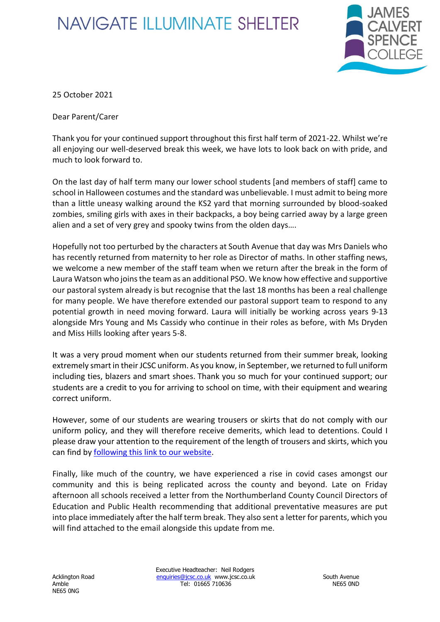## **NAVIGATE ILLUMINATE SHELTER**



25 October 2021

Dear Parent/Carer

Thank you for your continued support throughout this first half term of 2021-22. Whilst we're all enjoying our well-deserved break this week, we have lots to look back on with pride, and much to look forward to.

On the last day of half term many our lower school students [and members of staff] came to school in Halloween costumes and the standard was unbelievable. I must admit to being more than a little uneasy walking around the KS2 yard that morning surrounded by blood-soaked zombies, smiling girls with axes in their backpacks, a boy being carried away by a large green alien and a set of very grey and spooky twins from the olden days….

Hopefully not too perturbed by the characters at South Avenue that day was Mrs Daniels who has recently returned from maternity to her role as Director of maths. In other staffing news, we welcome a new member of the staff team when we return after the break in the form of Laura Watson who joins the team as an additional PSO. We know how effective and supportive our pastoral system already is but recognise that the last 18 months has been a real challenge for many people. We have therefore extended our pastoral support team to respond to any potential growth in need moving forward. Laura will initially be working across years 9-13 alongside Mrs Young and Ms Cassidy who continue in their roles as before, with Ms Dryden and Miss Hills looking after years 5-8.

It was a very proud moment when our students returned from their summer break, looking extremely smart in their JCSC uniform. As you know, in September, we returned to full uniform including ties, blazers and smart shoes. Thank you so much for your continued support; our students are a credit to you for arriving to school on time, with their equipment and wearing correct uniform.

However, some of our students are wearing trousers or skirts that do not comply with our uniform policy, and they will therefore receive demerits, which lead to detentions. Could I please draw your attention to the requirement of the length of trousers and skirts, which you can find by **following this link** to our website.

Finally, like much of the country, we have experienced a rise in covid cases amongst our community and this is being replicated across the county and beyond. Late on Friday afternoon all schools received a letter from the Northumberland County Council Directors of Education and Public Health recommending that additional preventative measures are put into place immediately after the half term break. They also sent a letter for parents, which you will find attached to the email alongside this update from me.